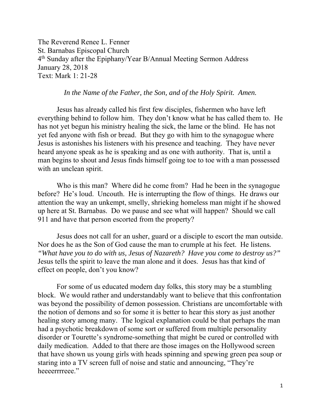The Reverend Renee L. Fenner St. Barnabas Episcopal Church 4th Sunday after the Epiphany/Year B/Annual Meeting Sermon Address January 28, 2018 Text: Mark 1: 21-28

## *In the Name of the Father, the Son, and of the Holy Spirit. Amen.*

 Jesus has already called his first few disciples, fishermen who have left everything behind to follow him. They don't know what he has called them to. He has not yet begun his ministry healing the sick, the lame or the blind. He has not yet fed anyone with fish or bread. But they go with him to the synagogue where Jesus is astonishes his listeners with his presence and teaching. They have never heard anyone speak as he is speaking and as one with authority. That is, until a man begins to shout and Jesus finds himself going toe to toe with a man possessed with an unclean spirit.

Who is this man? Where did he come from? Had he been in the synagogue before? He's loud. Uncouth. He is interrupting the flow of things. He draws our attention the way an unkempt, smelly, shrieking homeless man might if he showed up here at St. Barnabas. Do we pause and see what will happen? Should we call 911 and have that person escorted from the property?

Jesus does not call for an usher, guard or a disciple to escort the man outside. Nor does he as the Son of God cause the man to crumple at his feet. He listens*. "What have you to do with us, Jesus of Nazareth? Have you come to destroy us?"* Jesus tells the spirit to leave the man alone and it does. Jesus has that kind of effect on people, don't you know?

 For some of us educated modern day folks, this story may be a stumbling block. We would rather and understandably want to believe that this confrontation was beyond the possibility of demon possession. Christians are uncomfortable with the notion of demons and so for some it is better to hear this story as just another healing story among many. The logical explanation could be that perhaps the man had a psychotic breakdown of some sort or suffered from multiple personality disorder or Tourette's syndrome-something that might be cured or controlled with daily medication. Added to that there are those images on the Hollywood screen that have shown us young girls with heads spinning and spewing green pea soup or staring into a TV screen full of noise and static and announcing, "They're heeeerrrreee."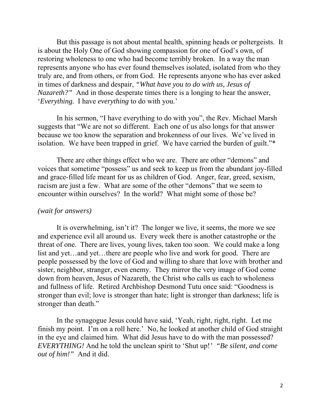But this passage is not about mental health, spinning heads or poltergeists. It is about the Holy One of God showing compassion for one of God's own, of restoring wholeness to one who had become terribly broken. In a way the man represents anyone who has ever found themselves isolated, isolated from who they truly are, and from others, or from God. He represents anyone who has ever asked in times of darkness and despair, *"What have you to do with us, Jesus of Nazareth?"* And in those desperate times there is a longing to hear the answer, '*Everything.* I have *everything* to do with you.'

 In his sermon, "I have everything to do with you", the Rev. Michael Marsh suggests that "We are not so different. Each one of us also longs for that answer because we too know the separation and brokenness of our lives. We've lived in isolation. We have been trapped in grief. We have carried the burden of guilt."\*

 There are other things effect who we are. There are other "demons" and voices that sometime "possess" us and seek to keep us from the abundant joy-filled and grace-filled life meant for us as children of God. Anger, fear, greed, sexism, racism are just a few. What are some of the other "demons" that we seem to encounter within ourselves? In the world? What might some of those be?

## *(wait for answers)*

 It is overwhelming, isn't it? The longer we live, it seems, the more we see and experience evil all around us. Every week there is another catastrophe or the threat of one. There are lives, young lives, taken too soon. We could make a long list and yet…and yet…there are people who live and work for good. There are people possessed by the love of God and willing to share that love with brother and sister, neighbor, stranger, even enemy. They mirror the very image of God come down from heaven, Jesus of Nazareth, the Christ who calls us each to wholeness and fullness of life. Retired Archbishop Desmond Tutu once said: "Goodness is stronger than evil; love is stronger than hate; light is stronger than darkness; life is stronger than death."

 In the synagogue Jesus could have said, 'Yeah, right, right, right. Let me finish my point. I'm on a roll here.' No, he looked at another child of God straight in the eye and claimed him. What did Jesus have to do with the man possessed? *EVERYTHING!* And he told the unclean spirit to 'Shut up!*' "Be silent, and come out of him!"* And it did.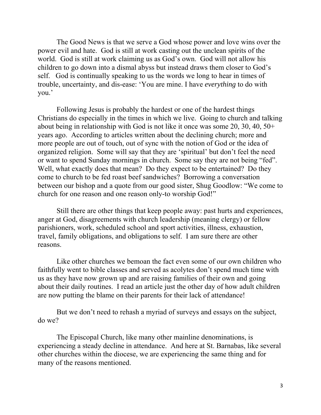The Good News is that we serve a God whose power and love wins over the power evil and hate. God is still at work casting out the unclean spirits of the world. God is still at work claiming us as God's own. God will not allow his children to go down into a dismal abyss but instead draws them closer to God's self. God is continually speaking to us the words we long to hear in times of trouble, uncertainty, and dis-ease: 'You are mine. I have *everything* to do with you.'

 Following Jesus is probably the hardest or one of the hardest things Christians do especially in the times in which we live. Going to church and talking about being in relationship with God is not like it once was some 20, 30, 40, 50+ years ago. According to articles written about the declining church; more and more people are out of touch, out of sync with the notion of God or the idea of organized religion. Some will say that they are 'spiritual' but don't feel the need or want to spend Sunday mornings in church. Some say they are not being "fed". Well, what exactly does that mean? Do they expect to be entertained? Do they come to church to be fed roast beef sandwiches? Borrowing a conversation between our bishop and a quote from our good sister, Shug Goodlow: "We come to church for one reason and one reason only-to worship God!"

Still there are other things that keep people away: past hurts and experiences, anger at God, disagreements with church leadership (meaning clergy) or fellow parishioners, work, scheduled school and sport activities, illness, exhaustion, travel, family obligations, and obligations to self. I am sure there are other reasons.

Like other churches we bemoan the fact even some of our own children who faithfully went to bible classes and served as acolytes don't spend much time with us as they have now grown up and are raising families of their own and going about their daily routines. I read an article just the other day of how adult children are now putting the blame on their parents for their lack of attendance!

But we don't need to rehash a myriad of surveys and essays on the subject, do we?

The Episcopal Church, like many other mainline denominations, is experiencing a steady decline in attendance. And here at St. Barnabas, like several other churches within the diocese, we are experiencing the same thing and for many of the reasons mentioned.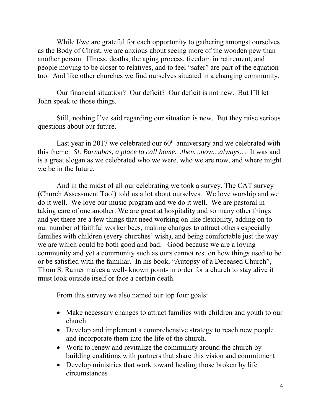While I/we are grateful for each opportunity to gathering amongst ourselves as the Body of Christ, we are anxious about seeing more of the wooden pew than another person. Illness, deaths, the aging process, freedom in retirement, and people moving to be closer to relatives, and to feel "safer" are part of the equation too. And like other churches we find ourselves situated in a changing community.

 Our financial situation? Our deficit? Our deficit is not new. But I'll let John speak to those things.

 Still, nothing I've said regarding our situation is new. But they raise serious questions about our future.

Last year in 2017 we celebrated our  $60<sup>th</sup>$  anniversary and we celebrated with this theme: *St. Barnabas, a place to call home…then…now…always…* It was and is a great slogan as we celebrated who we were, who we are now, and where might we be in the future.

 And in the midst of all our celebrating we took a survey. The CAT survey (Church Assessment Tool) told us a lot about ourselves. We love worship and we do it well. We love our music program and we do it well. We are pastoral in taking care of one another. We are great at hospitality and so many other things and yet there are a few things that need working on like flexibility, adding on to our number of faithful worker bees, making changes to attract others especially families with children (every churches' wish), and being comfortable just the way we are which could be both good and bad. Good because we are a loving community and yet a community such as ours cannot rest on how things used to be or be satisfied with the familiar. In his book, "Autopsy of a Deceased Church", Thom S. Rainer makes a well- known point- in order for a church to stay alive it must look outside itself or face a certain death.

From this survey we also named our top four goals:

- Make necessary changes to attract families with children and youth to our church
- Develop and implement a comprehensive strategy to reach new people and incorporate them into the life of the church.
- Work to renew and revitalize the community around the church by building coalitions with partners that share this vision and commitment
- Develop ministries that work toward healing those broken by life circumstances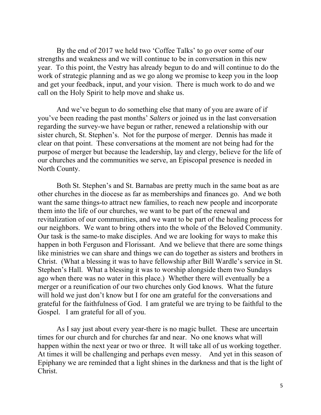By the end of 2017 we held two 'Coffee Talks' to go over some of our strengths and weakness and we will continue to be in conversation in this new year. To this point, the Vestry has already begun to do and will continue to do the work of strategic planning and as we go along we promise to keep you in the loop and get your feedback, input, and your vision. There is much work to do and we call on the Holy Spirit to help move and shake us.

And we've begun to do something else that many of you are aware of if you've been reading the past months' *Salters* or joined us in the last conversation regarding the survey-we have begun or rather, renewed a relationship with our sister church, St. Stephen's. Not for the purpose of merger. Dennis has made it clear on that point. These conversations at the moment are not being had for the purpose of merger but because the leadership, lay and clergy, believe for the life of our churches and the communities we serve, an Episcopal presence is needed in North County.

Both St. Stephen's and St. Barnabas are pretty much in the same boat as are other churches in the diocese as far as memberships and finances go. And we both want the same things-to attract new families, to reach new people and incorporate them into the life of our churches, we want to be part of the renewal and revitalization of our communities, and we want to be part of the healing process for our neighbors. We want to bring others into the whole of the Beloved Community. Our task is the same-to make disciples. And we are looking for ways to make this happen in both Ferguson and Florissant. And we believe that there are some things like ministries we can share and things we can do together as sisters and brothers in Christ. (What a blessing it was to have fellowship after Bill Wardle's service in St. Stephen's Hall. What a blessing it was to worship alongside them two Sundays ago when there was no water in this place.) Whether there will eventually be a merger or a reunification of our two churches only God knows. What the future will hold we just don't know but I for one am grateful for the conversations and grateful for the faithfulness of God. I am grateful we are trying to be faithful to the Gospel. I am grateful for all of you.

As I say just about every year-there is no magic bullet. These are uncertain times for our church and for churches far and near. No one knows what will happen within the next year or two or three. It will take all of us working together. At times it will be challenging and perhaps even messy. And yet in this season of Epiphany we are reminded that a light shines in the darkness and that is the light of Christ.